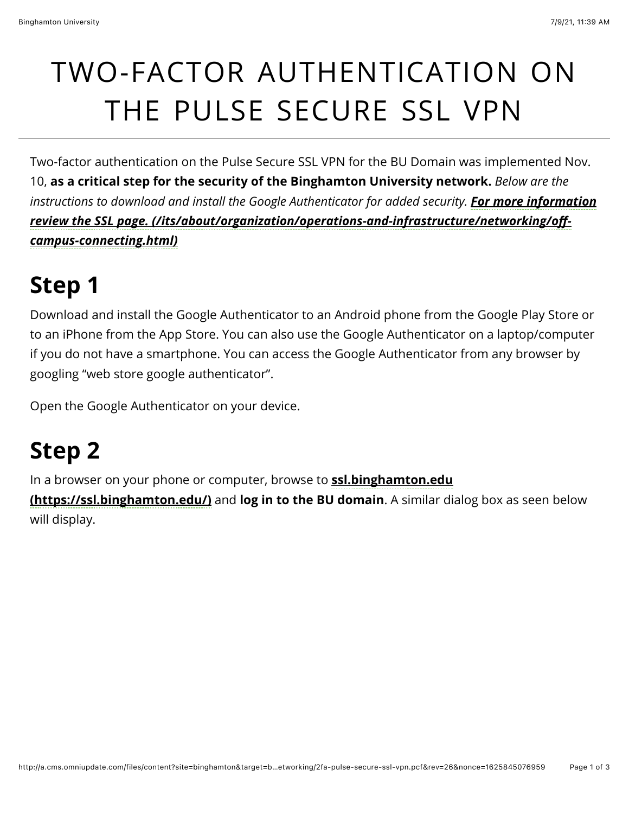# TWO-FACTOR AUTHENTICATION ON THE PULSE SECURE SSL VPN

Two-factor authentication on the Pulse Secure SSL VPN for the BU Domain was implemented Nov. 10, **as a critical step for the security of the Binghamton University network.** *Below are the instructions to download and install the Google Authenticator for added security. For more information [review the SSL page. \(/its/about/organization/operations-and-infrastructure/networking/o](https://www.binghamton.edu/its/about/organization/operations-and-infrastructure/networking/off-campus-connecting.html)! campus-connecting.html)*

### **Step 1**

Download and install the Google Authenticator to an Android phone from the Google Play Store or to an iPhone from the App Store. You can also use the Google Authenticator on a laptop/computer if you do not have a smartphone. You can access the Google Authenticator from any browser by googling "web store google authenticator".

Open the Google Authenticator on your device.

## **Step 2**

[In a browser on your phone or computer, browse to](https://ssl.binghamton.edu/) **ssl.binghamton.edu**

**(https://ssl.binghamton.edu/)** and **log in to the BU domain**. A similar dialog box as seen below will display.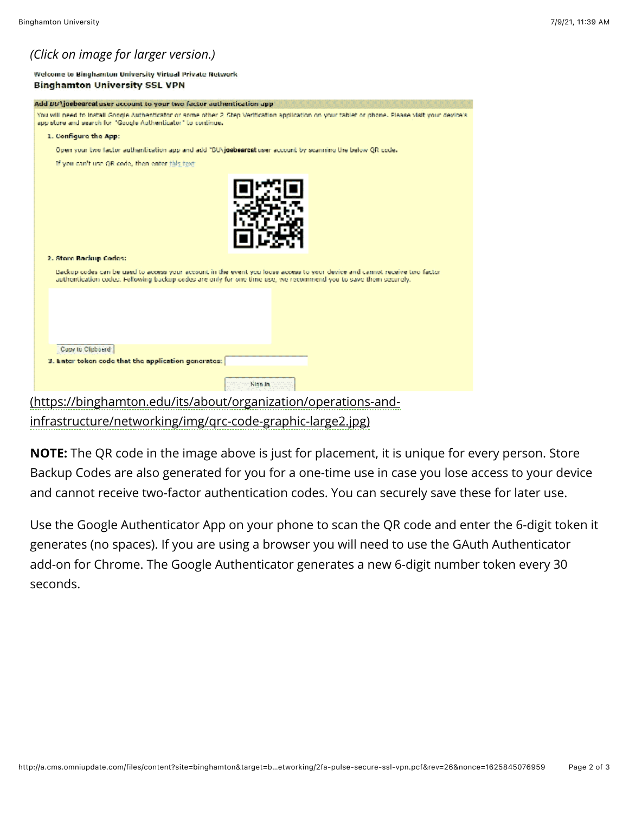#### *(Click on image for larger version.)*

#### Welcome to Binghamton University Virtual Private Network **Binghamton University SSL VPN**

| Add BU' joebeareatuser account to your two factor authentication app                                                                                                                                                                          |  |
|-----------------------------------------------------------------------------------------------------------------------------------------------------------------------------------------------------------------------------------------------|--|
| You will need to install Google Authenticator or some other 2. Step Verification application on your tablet or phone. Please visit your device's<br>app store and search for "Google Authenticator" to continue,                              |  |
| 1. Configure the App:                                                                                                                                                                                                                         |  |
| Open your two factor authentication app and add "BUVjoebeargat user account by scanning the below OR code.                                                                                                                                    |  |
| If you can't use OR code, then enter this text.                                                                                                                                                                                               |  |
|                                                                                                                                                                                                                                               |  |
| 2. Store Backup Codes:                                                                                                                                                                                                                        |  |
| Backup codes can be used to access your account in the event you loose access to your device and cannot receive two factor<br>authentication codes. Fellowing backup codes are only for one time use, we recommend you to save them securely. |  |
|                                                                                                                                                                                                                                               |  |
| Copy to Cluboard:                                                                                                                                                                                                                             |  |
| 3. Enter token code that the application generates:                                                                                                                                                                                           |  |
| Slan In.                                                                                                                                                                                                                                      |  |
| (https://binghamton.edu/its/about/organization/operations-and-                                                                                                                                                                                |  |
| infrastructure/networking/img/grc-code-graphic-large2.jpg)                                                                                                                                                                                    |  |

**NOTE:** The QR code in the image above is just for placement, it is unique for every person. Store Backup Codes are also generated for you for a one-time use in case you lose access to your device and cannot receive two-factor authentication codes. You can securely save these for later use.

Use the Google Authenticator App on your phone to scan the QR code and enter the 6-digit token it generates (no spaces). If you are using a browser you will need to use the GAuth Authenticator add-on for Chrome. The Google Authenticator generates a new 6-digit number token every 30 seconds.